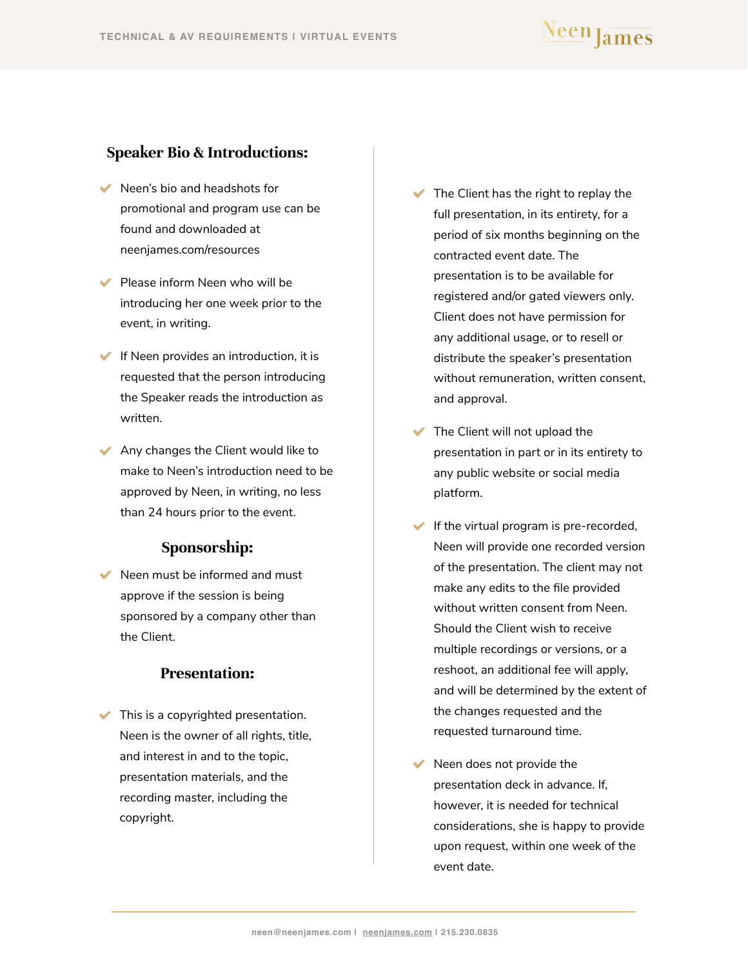#### <span id="page-0-0"></span>**Speaker Bio & Introductions:**

- Neen's bio and headshots for promotional and program use can be found and downloaded at neenjames.com/resources
- $\blacktriangleright$  Please inform Neen who will be introducing her one week prior to the event, in writing.
- $\blacktriangleright$  If Neen provides an introduction, it is requested that the person introducing the Speaker reads the introduction as written.
- Any changes the Client would like to make to Neen's introduction need to be approved by Neen, in writing, no less than 24 hours prior to the event.

#### **Sponsorship:**

 $\blacktriangleright$  Neen must be informed and must approve if the session is being sponsored by a company other than the Client.

#### **Presentation:**

 $\blacktriangleright$  This is a copyrighted presentation. Neen is the owner of all rights, title, and interest in and to the topic, presentation materials, and the recording master, including the copyright.

- $\blacktriangleright$  The Client has the right to replay the full presentation, in its entirety, for a period of six months beginning on the contracted event date. The presentation is to be available for registered and/or gated viewers only. Client does not have permission for any additional usage, or to resell or distribute the speaker's presentation without remuneration, written consent, and approval.
- The Client will not upload the presentation in part or in its entirety to any public website or social media platform.
- If the virtual program is pre-recorded, Neen will provide one recorded version of the presentation. The client may not make any edits to the file provided without written consent from Neen. Should the Client wish to receive multiple recordings or versions, or a reshoot, an additional fee will apply, and will be determined by the extent of the changes requested and the requested turnaround time.
- $\blacktriangleright$  Neen does not provide the presentation deck in advance. If, however, it is needed for technical considerations, she is happy to provide upon request, within one week of the event date.